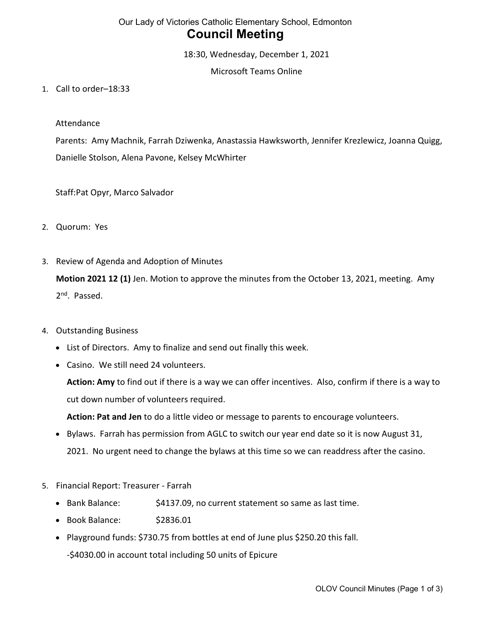# Our Lady of Victories Catholic Elementary School, Edmonton Council Meeting

18:30, Wednesday, December 1, 2021

Microsoft Teams Online

1. Call to order–18:33

#### Attendance

Parents: Amy Machnik, Farrah Dziwenka, Anastassia Hawksworth, Jennifer Krezlewicz, Joanna Quigg, Danielle Stolson, Alena Pavone, Kelsey McWhirter

Staff:Pat Opyr, Marco Salvador

- 2. Quorum: Yes
- 3. Review of Agenda and Adoption of Minutes

Motion 2021 12 (1) Jen. Motion to approve the minutes from the October 13, 2021, meeting. Amy 2<sup>nd</sup>. Passed.

- 4. Outstanding Business
	- List of Directors. Amy to finalize and send out finally this week.
	- Casino. We still need 24 volunteers.

Action: Amy to find out if there is a way we can offer incentives. Also, confirm if there is a way to cut down number of volunteers required.

Action: Pat and Jen to do a little video or message to parents to encourage volunteers.

- Bylaws. Farrah has permission from AGLC to switch our year end date so it is now August 31, 2021. No urgent need to change the bylaws at this time so we can readdress after the casino.
- 5. Financial Report: Treasurer Farrah
	- Bank Balance:  $$4137.09$ , no current statement so same as last time.
	- Book Balance: \$2836.01
	- Playground funds: \$730.75 from bottles at end of June plus \$250.20 this fall. -\$4030.00 in account total including 50 units of Epicure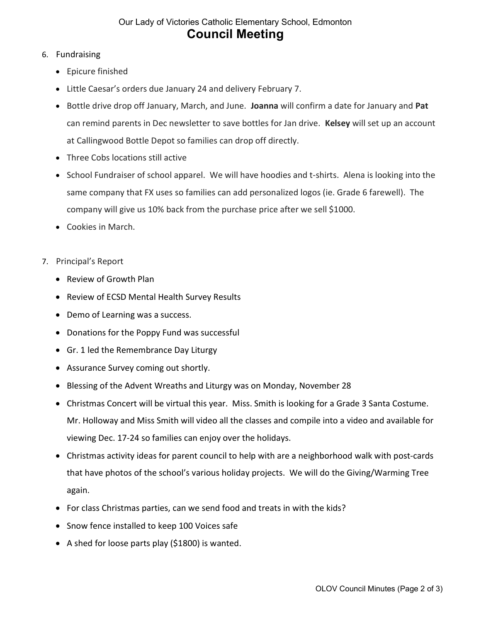## Our Lady of Victories Catholic Elementary School, Edmonton Council Meeting

### 6. Fundraising

- Epicure finished
- Little Caesar's orders due January 24 and delivery February 7.
- Bottle drive drop off January, March, and June. Joanna will confirm a date for January and Pat can remind parents in Dec newsletter to save bottles for Jan drive. Kelsey will set up an account at Callingwood Bottle Depot so families can drop off directly.
- Three Cobs locations still active
- School Fundraiser of school apparel. We will have hoodies and t-shirts. Alena is looking into the same company that FX uses so families can add personalized logos (ie. Grade 6 farewell). The company will give us 10% back from the purchase price after we sell \$1000.
- Cookies in March.
- 7. Principal's Report
	- Review of Growth Plan
	- Review of ECSD Mental Health Survey Results
	- Demo of Learning was a success.
	- Donations for the Poppy Fund was successful
	- Gr. 1 led the Remembrance Day Liturgy
	- Assurance Survey coming out shortly.
	- Blessing of the Advent Wreaths and Liturgy was on Monday, November 28
	- Christmas Concert will be virtual this year. Miss. Smith is looking for a Grade 3 Santa Costume. Mr. Holloway and Miss Smith will video all the classes and compile into a video and available for viewing Dec. 17-24 so families can enjoy over the holidays.
	- Christmas activity ideas for parent council to help with are a neighborhood walk with post-cards that have photos of the school's various holiday projects. We will do the Giving/Warming Tree again.
	- For class Christmas parties, can we send food and treats in with the kids?
	- Snow fence installed to keep 100 Voices safe
	- A shed for loose parts play (\$1800) is wanted.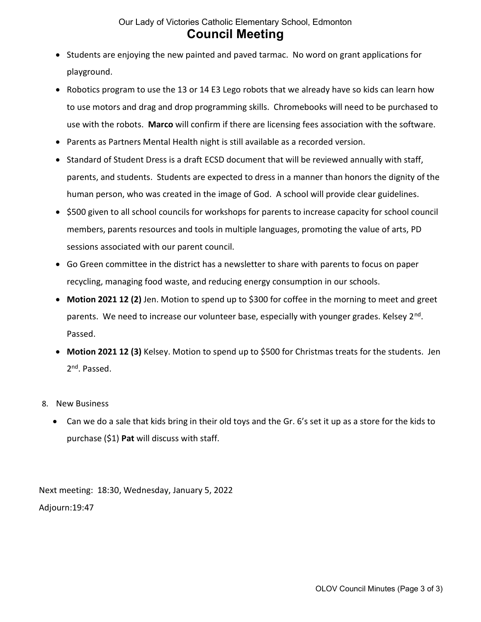## Our Lady of Victories Catholic Elementary School, Edmonton Council Meeting

- Students are enjoying the new painted and paved tarmac. No word on grant applications for playground.
- Robotics program to use the 13 or 14 E3 Lego robots that we already have so kids can learn how to use motors and drag and drop programming skills. Chromebooks will need to be purchased to use with the robots. Marco will confirm if there are licensing fees association with the software.
- Parents as Partners Mental Health night is still available as a recorded version.
- Standard of Student Dress is a draft ECSD document that will be reviewed annually with staff, parents, and students. Students are expected to dress in a manner than honors the dignity of the human person, who was created in the image of God. A school will provide clear guidelines.
- \$500 given to all school councils for workshops for parents to increase capacity for school council members, parents resources and tools in multiple languages, promoting the value of arts, PD sessions associated with our parent council.
- Go Green committee in the district has a newsletter to share with parents to focus on paper recycling, managing food waste, and reducing energy consumption in our schools.
- Motion 2021 12 (2) Jen. Motion to spend up to \$300 for coffee in the morning to meet and greet parents. We need to increase our volunteer base, especially with younger grades. Kelsey 2<sup>nd</sup>. Passed.
- Motion 2021 12 (3) Kelsey. Motion to spend up to \$500 for Christmas treats for the students. Jen 2<sup>nd</sup>. Passed.
- 8. New Business
	- Can we do a sale that kids bring in their old toys and the Gr. 6's set it up as a store for the kids to purchase (\$1) Pat will discuss with staff.

Next meeting: 18:30, Wednesday, January 5, 2022 Adjourn:19:47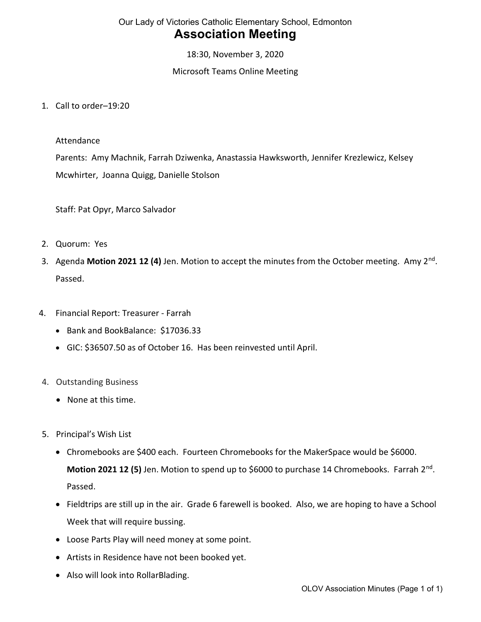# Our Lady of Victories Catholic Elementary School, Edmonton Association Meeting

18:30, November 3, 2020

Microsoft Teams Online Meeting

1. Call to order–19:20

#### Attendance

Parents: Amy Machnik, Farrah Dziwenka, Anastassia Hawksworth, Jennifer Krezlewicz, Kelsey Mcwhirter, Joanna Quigg, Danielle Stolson

Staff: Pat Opyr, Marco Salvador

- 2. Quorum: Yes
- 3. Agenda Motion 2021 12 (4) Jen. Motion to accept the minutes from the October meeting. Amy  $2^{nd}$ . Passed.
- 4. Financial Report: Treasurer Farrah
	- Bank and BookBalance: \$17036.33
	- GIC: \$36507.50 as of October 16. Has been reinvested until April.
- 4. Outstanding Business
	- None at this time.
- 5. Principal's Wish List
	- Chromebooks are \$400 each. Fourteen Chromebooks for the MakerSpace would be \$6000. Motion 2021 12 (5) Jen. Motion to spend up to \$6000 to purchase 14 Chromebooks. Farrah 2<sup>nd</sup>. Passed.
	- Fieldtrips are still up in the air. Grade 6 farewell is booked. Also, we are hoping to have a School Week that will require bussing.
	- Loose Parts Play will need money at some point.
	- Artists in Residence have not been booked yet.
	- Also will look into RollarBlading.